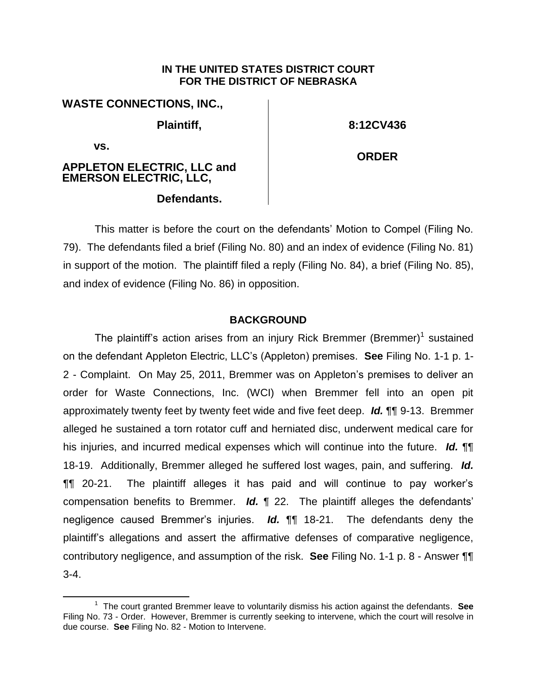#### **IN THE UNITED STATES DISTRICT COURT FOR THE DISTRICT OF NEBRASKA**

| <b>WASTE CONNECTIONS, INC.,</b>                                 |              |
|-----------------------------------------------------------------|--------------|
| Plaintiff,                                                      | 8:12CV436    |
| VS.<br><b>APPLETON ELECTRIC, LLC and EMERSON ELECTRIC, LLC,</b> | <b>ORDER</b> |

# **Defendants.**

This matter is before the court on the defendants' Motion to Compel (Filing No. 79). The defendants filed a brief (Filing No. 80) and an index of evidence (Filing No. 81) in support of the motion. The plaintiff filed a reply (Filing No. 84), a brief (Filing No. 85), and index of evidence (Filing No. 86) in opposition.

# **BACKGROUND**

The plaintiff's action arises from an injury Rick Bremmer (Bremmer)<sup>1</sup> sustained on the defendant Appleton Electric, LLC's (Appleton) premises. **See** Filing No. 1-1 p. 1- 2 - Complaint. On May 25, 2011, Bremmer was on Appleton's premises to deliver an order for Waste Connections, Inc. (WCI) when Bremmer fell into an open pit approximately twenty feet by twenty feet wide and five feet deep. *Id.* ¶¶ 9-13. Bremmer alleged he sustained a torn rotator cuff and herniated disc, underwent medical care for his injuries, and incurred medical expenses which will continue into the future. *Id.* ¶¶ 18-19. Additionally, Bremmer alleged he suffered lost wages, pain, and suffering. *Id.* ¶¶ 20-21. The plaintiff alleges it has paid and will continue to pay worker's compensation benefits to Bremmer. *Id.* ¶ 22. The plaintiff alleges the defendants' negligence caused Bremmer's injuries. *Id.* ¶¶ 18-21. The defendants deny the plaintiff's allegations and assert the affirmative defenses of comparative negligence, contributory negligence, and assumption of the risk. **See** Filing No. 1-1 p. 8 - Answer ¶¶ 3-4.

 $\overline{a}$ 1 The court granted Bremmer leave to voluntarily dismiss his action against the defendants. **See** Filing No. 73 - Order. However, Bremmer is currently seeking to intervene, which the court will resolve in due course. **See** Filing No. 82 - Motion to Intervene.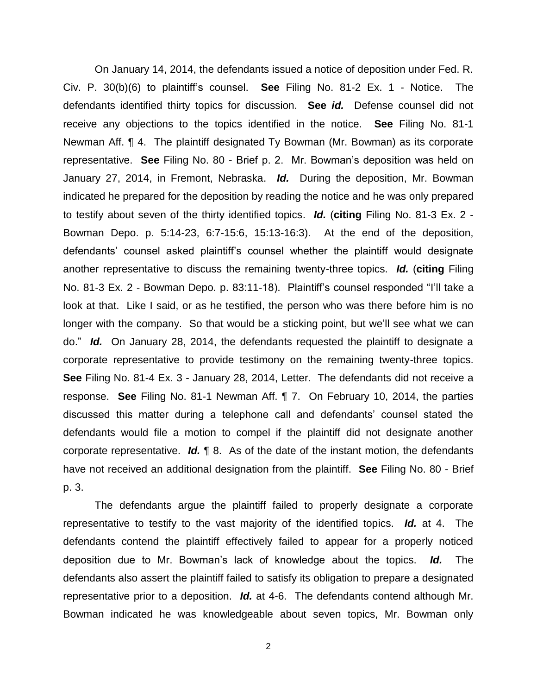On January 14, 2014, the defendants issued a notice of deposition under Fed. R. Civ. P. 30(b)(6) to plaintiff's counsel. **See** Filing No. 81-2 Ex. 1 - Notice. The defendants identified thirty topics for discussion. **See** *id.* Defense counsel did not receive any objections to the topics identified in the notice. **See** Filing No. 81-1 Newman Aff. ¶ 4. The plaintiff designated Ty Bowman (Mr. Bowman) as its corporate representative. **See** Filing No. 80 - Brief p. 2. Mr. Bowman's deposition was held on January 27, 2014, in Fremont, Nebraska. *Id.* During the deposition, Mr. Bowman indicated he prepared for the deposition by reading the notice and he was only prepared to testify about seven of the thirty identified topics. *Id.* (**citing** Filing No. 81-3 Ex. 2 - Bowman Depo. p. 5:14-23, 6:7-15:6, 15:13-16:3). At the end of the deposition, defendants' counsel asked plaintiff's counsel whether the plaintiff would designate another representative to discuss the remaining twenty-three topics. *Id.* (**citing** Filing No. 81-3 Ex. 2 - Bowman Depo. p. 83:11-18). Plaintiff's counsel responded "I'll take a look at that. Like I said, or as he testified, the person who was there before him is no longer with the company. So that would be a sticking point, but we'll see what we can do." *Id.* On January 28, 2014, the defendants requested the plaintiff to designate a corporate representative to provide testimony on the remaining twenty-three topics. **See** Filing No. 81-4 Ex. 3 - January 28, 2014, Letter. The defendants did not receive a response. **See** Filing No. 81-1 Newman Aff. ¶ 7. On February 10, 2014, the parties discussed this matter during a telephone call and defendants' counsel stated the defendants would file a motion to compel if the plaintiff did not designate another corporate representative. *Id.* ¶ 8. As of the date of the instant motion, the defendants have not received an additional designation from the plaintiff. **See** Filing No. 80 - Brief p. 3.

The defendants argue the plaintiff failed to properly designate a corporate representative to testify to the vast majority of the identified topics. *Id.* at 4. The defendants contend the plaintiff effectively failed to appear for a properly noticed deposition due to Mr. Bowman's lack of knowledge about the topics. *Id.* The defendants also assert the plaintiff failed to satisfy its obligation to prepare a designated representative prior to a deposition. *Id.* at 4-6. The defendants contend although Mr. Bowman indicated he was knowledgeable about seven topics, Mr. Bowman only

2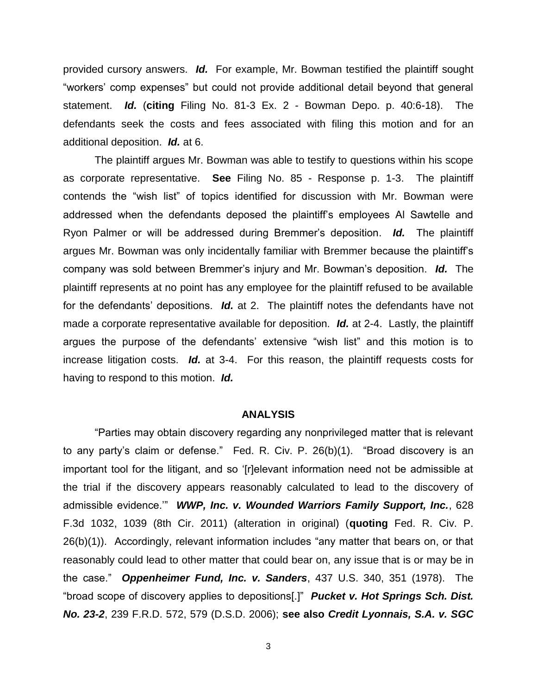provided cursory answers. *Id.* For example, Mr. Bowman testified the plaintiff sought "workers' comp expenses" but could not provide additional detail beyond that general statement. *Id.* (**citing** Filing No. 81-3 Ex. 2 - Bowman Depo. p. 40:6-18). The defendants seek the costs and fees associated with filing this motion and for an additional deposition. *Id.* at 6.

The plaintiff argues Mr. Bowman was able to testify to questions within his scope as corporate representative. **See** Filing No. 85 - Response p. 1-3. The plaintiff contends the "wish list" of topics identified for discussion with Mr. Bowman were addressed when the defendants deposed the plaintiff's employees Al Sawtelle and Ryon Palmer or will be addressed during Bremmer's deposition. *Id.* The plaintiff argues Mr. Bowman was only incidentally familiar with Bremmer because the plaintiff's company was sold between Bremmer's injury and Mr. Bowman's deposition. *Id.* The plaintiff represents at no point has any employee for the plaintiff refused to be available for the defendants' depositions. *Id.* at 2. The plaintiff notes the defendants have not made a corporate representative available for deposition. *Id.* at 2-4. Lastly, the plaintiff argues the purpose of the defendants' extensive "wish list" and this motion is to increase litigation costs. *Id.* at 3-4. For this reason, the plaintiff requests costs for having to respond to this motion. *Id.*

#### **ANALYSIS**

"Parties may obtain discovery regarding any nonprivileged matter that is relevant to any party's claim or defense." Fed. R. Civ. P. 26(b)(1). "Broad discovery is an important tool for the litigant, and so '[r]elevant information need not be admissible at the trial if the discovery appears reasonably calculated to lead to the discovery of admissible evidence.'" *WWP, Inc. v. Wounded Warriors Family Support, Inc.*, 628 F.3d 1032, 1039 (8th Cir. 2011) (alteration in original) (**quoting** Fed. R. Civ. P. 26(b)(1)). Accordingly, relevant information includes "any matter that bears on, or that reasonably could lead to other matter that could bear on, any issue that is or may be in the case." *Oppenheimer Fund, Inc. v. Sanders*, 437 U.S. 340, 351 (1978). The "broad scope of discovery applies to depositions[.]" *Pucket v. Hot Springs Sch. Dist. No. 23-2*, 239 F.R.D. 572, 579 (D.S.D. 2006); **see also** *Credit Lyonnais, S.A. v. SGC* 

3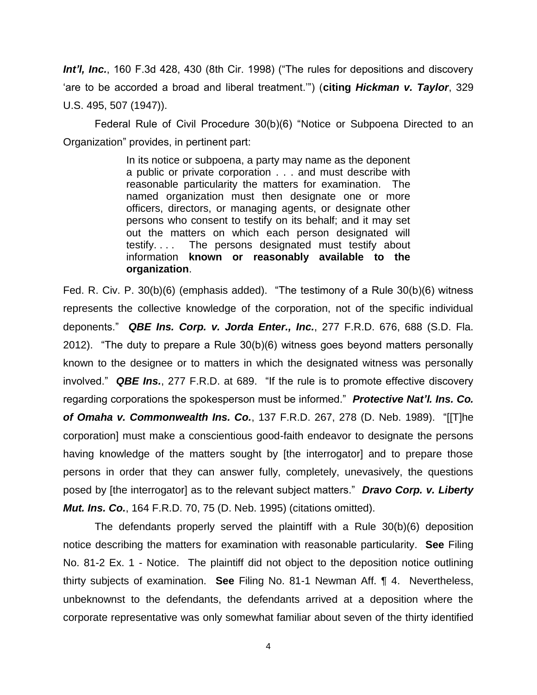*Int'l, Inc.*, 160 F.3d 428, 430 (8th Cir. 1998) ("The rules for depositions and discovery 'are to be accorded a broad and liberal treatment.'") (**citing** *Hickman v. Taylor*, 329 U.S. 495, 507 (1947)).

Federal Rule of Civil Procedure 30(b)(6) "Notice or Subpoena Directed to an Organization" provides, in pertinent part:

> In its notice or subpoena, a party may name as the deponent a public or private corporation . . . and must describe with reasonable particularity the matters for examination. The named organization must then designate one or more officers, directors, or managing agents, or designate other persons who consent to testify on its behalf; and it may set out the matters on which each person designated will testify. . . . The persons designated must testify about information **known or reasonably available to the organization**.

Fed. R. Civ. P. 30(b)(6) (emphasis added). "The testimony of a Rule 30(b)(6) witness represents the collective knowledge of the corporation, not of the specific individual deponents." *QBE Ins. Corp. v. Jorda Enter., Inc.*, 277 F.R.D. 676, 688 (S.D. Fla. 2012). "The duty to prepare a Rule 30(b)(6) witness goes beyond matters personally known to the designee or to matters in which the designated witness was personally involved." *QBE Ins.*, 277 F.R.D. at 689. "If the rule is to promote effective discovery regarding corporations the spokesperson must be informed." *Protective Nat'l. Ins. Co. of Omaha v. Commonwealth Ins. Co.*, 137 F.R.D. 267, 278 (D. Neb. 1989). "[[T]he corporation] must make a conscientious good-faith endeavor to designate the persons having knowledge of the matters sought by [the interrogator] and to prepare those persons in order that they can answer fully, completely, unevasively, the questions posed by [the interrogator] as to the relevant subject matters." *Dravo Corp. v. Liberty Mut. Ins. Co.*, 164 F.R.D. 70, 75 (D. Neb. 1995) (citations omitted).

The defendants properly served the plaintiff with a Rule 30(b)(6) deposition notice describing the matters for examination with reasonable particularity. **See** Filing No. 81-2 Ex. 1 - Notice. The plaintiff did not object to the deposition notice outlining thirty subjects of examination. **See** Filing No. 81-1 Newman Aff. ¶ 4. Nevertheless, unbeknownst to the defendants, the defendants arrived at a deposition where the corporate representative was only somewhat familiar about seven of the thirty identified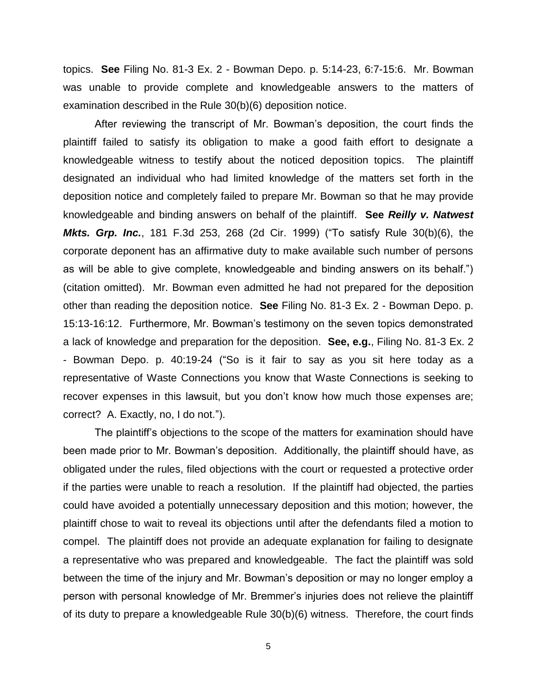topics. **See** Filing No. 81-3 Ex. 2 - Bowman Depo. p. 5:14-23, 6:7-15:6. Mr. Bowman was unable to provide complete and knowledgeable answers to the matters of examination described in the Rule 30(b)(6) deposition notice.

After reviewing the transcript of Mr. Bowman's deposition, the court finds the plaintiff failed to satisfy its obligation to make a good faith effort to designate a knowledgeable witness to testify about the noticed deposition topics. The plaintiff designated an individual who had limited knowledge of the matters set forth in the deposition notice and completely failed to prepare Mr. Bowman so that he may provide knowledgeable and binding answers on behalf of the plaintiff. **See** *Reilly v. Natwest Mkts. Grp. Inc.*, 181 F.3d 253, 268 (2d Cir. 1999) ("To satisfy Rule 30(b)(6), the corporate deponent has an affirmative duty to make available such number of persons as will be able to give complete, knowledgeable and binding answers on its behalf.") (citation omitted). Mr. Bowman even admitted he had not prepared for the deposition other than reading the deposition notice. **See** Filing No. 81-3 Ex. 2 - Bowman Depo. p. 15:13-16:12. Furthermore, Mr. Bowman's testimony on the seven topics demonstrated a lack of knowledge and preparation for the deposition. **See, e.g.**, Filing No. 81-3 Ex. 2 - Bowman Depo. p. 40:19-24 ("So is it fair to say as you sit here today as a representative of Waste Connections you know that Waste Connections is seeking to recover expenses in this lawsuit, but you don't know how much those expenses are; correct? A. Exactly, no, I do not.").

The plaintiff's objections to the scope of the matters for examination should have been made prior to Mr. Bowman's deposition. Additionally, the plaintiff should have, as obligated under the rules, filed objections with the court or requested a protective order if the parties were unable to reach a resolution. If the plaintiff had objected, the parties could have avoided a potentially unnecessary deposition and this motion; however, the plaintiff chose to wait to reveal its objections until after the defendants filed a motion to compel. The plaintiff does not provide an adequate explanation for failing to designate a representative who was prepared and knowledgeable. The fact the plaintiff was sold between the time of the injury and Mr. Bowman's deposition or may no longer employ a person with personal knowledge of Mr. Bremmer's injuries does not relieve the plaintiff of its duty to prepare a knowledgeable Rule 30(b)(6) witness. Therefore, the court finds

5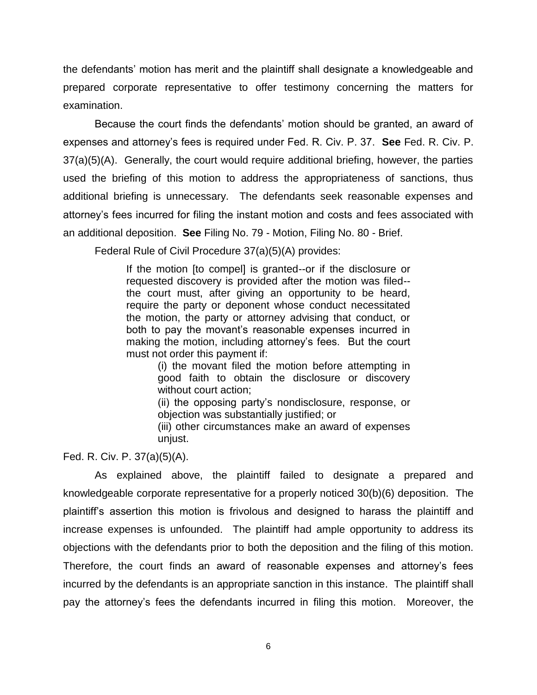the defendants' motion has merit and the plaintiff shall designate a knowledgeable and prepared corporate representative to offer testimony concerning the matters for examination.

Because the court finds the defendants' motion should be granted, an award of expenses and attorney's fees is required under Fed. R. Civ. P. 37. **See** Fed. R. Civ. P. 37(a)(5)(A). Generally, the court would require additional briefing, however, the parties used the briefing of this motion to address the appropriateness of sanctions, thus additional briefing is unnecessary. The defendants seek reasonable expenses and attorney's fees incurred for filing the instant motion and costs and fees associated with an additional deposition. **See** Filing No. 79 - Motion, Filing No. 80 - Brief.

Federal Rule of Civil Procedure 37(a)(5)(A) provides:

If the motion [to compel] is granted--or if the disclosure or requested discovery is provided after the motion was filed- the court must, after giving an opportunity to be heard, require the party or deponent whose conduct necessitated the motion, the party or attorney advising that conduct, or both to pay the movant's reasonable expenses incurred in making the motion, including attorney's fees. But the court must not order this payment if:

> (i) the movant filed the motion before attempting in good faith to obtain the disclosure or discovery without court action;

> (ii) the opposing party's nondisclosure, response, or objection was substantially justified; or

> (iii) other circumstances make an award of expenses unjust.

Fed. R. Civ. P. 37(a)(5)(A).

As explained above, the plaintiff failed to designate a prepared and knowledgeable corporate representative for a properly noticed 30(b)(6) deposition. The plaintiff's assertion this motion is frivolous and designed to harass the plaintiff and increase expenses is unfounded. The plaintiff had ample opportunity to address its objections with the defendants prior to both the deposition and the filing of this motion. Therefore, the court finds an award of reasonable expenses and attorney's fees incurred by the defendants is an appropriate sanction in this instance. The plaintiff shall pay the attorney's fees the defendants incurred in filing this motion. Moreover, the